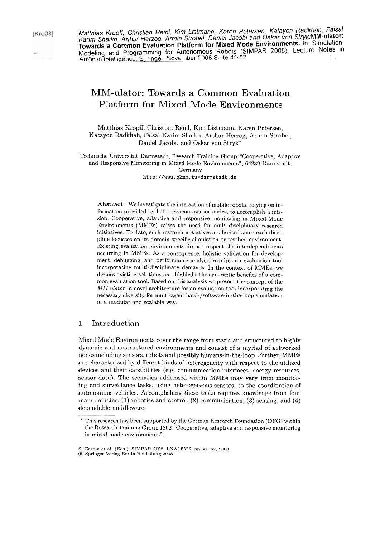Matthias Kropff, Christian Reinl, Kim Listmann, Karen Petersen, Katayon Radkhah, Faisal Kanm Shaikh, Arthur Herzog, Armin Strobel, Daniel Jacobi and Oskar von Stryk:MM-ulator: Towards a Common Evaluation Platform for Mixed Mode Environments. In: Simulation. Modeling and Programming for Autonomous Robots (SIMPAR 2008): Lecture Notes in Artificlal **!ntel\igen\$c. 5:** ringe:. **Yovt-.** - **iber** <sup>~</sup> **708.S:ite 4'** -52

# MM-ulator: Towards a Common Evaluation Platform for Mixed Mode Environments

Matthias Kropff, Christian Reinl, Kim Listmann, Karen Petersen, Katayon Radkhah, Faisal Karim Shaikh, Arthur Herzog, Armin Strobel, Daniel Jacobi, and Oskar von Stryk\*

Technische Universität Darmstadt, Research Training Group "Cooperative, Adaptive and Responsive Monitoring in Mixed Mode Environments", 64289 Darmstadt, Germany

**http://www.gkmm.tu-darmstadt.de** 

**Abstract.** We investigate the interaction of mobile robots, relying on in-Formation provided by heterogeneous sensor nodes, to accomplish a mission. Cooperative, adaptive and responsive monitoring in Mixed-Mode Environments (MMEs) raises the need for multi-disciplinary research initiatives. To date, such research initiatives are limited since each discipline focusses on its domain specific simulation or testbed environment. Existing evaluation environments do not respect the interdependencies occurring in MMEs. As a consequence, holistic validation for development, debugging, and performance analysis requires an evaluation tool incorporating multi-disciplinary demands. In the context of MMEs, we discuss existing solutions and highlight the synergetic benefits of a common evaluation tool. Based on this analysis we present the concept of the MM-ulator: a novel architecture for an evaluation tool incorporating the necessary diversity for multi-agent hard-/software-in-the-loop simulation in a modular and scalable way.

# **1** Introduction

Mixed Mode Environments Cover the range from static and structured to highly dynamic and unstructured environments and consist of a myriad of networked nodes including sensors, robots and possibly humans-in-the-loop. Further, MMEs are characterized by different kinds of heterogeneity with respect to the utilized devices and their capabilities (e.g. communication interfaces, energy resources, sensor data). The scenarios addressed within MMEs may vary from monitoring and surveillance tasks, using heterogeneous sensors, to the coordination of autonomous vehicles. Accomplishing these tasks requires knowledge from four main domains: (1) robotics and control, (2) communication, (3) sensing, and (4) dependable middleware.

This research has been supported by the German Research Foundation (DFG) within the Research Training Group 1362 "Cooperative, adaptive and responsive monitoring in mixed mode environments" .

S. Carpiri et al. **(Ecls.):** SIMPAR 2008, **LNAI** 5325, **pp.** 41-52, 2008.

<sup>@</sup> Spriiiger-Verlag Berlin Heidelberg 2008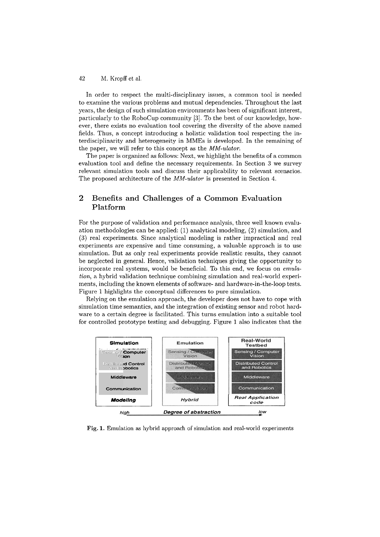#### 42 M. Kropff et al.

In order to respect the multi-disciplinary issues, a common tool is needed to examine the various problems and mutual dependencies. Throughout the last years, the design of such simulation environments has been of significant interest, particularly to the RoboCup community **[3].** To the best of our knowledge, however, there exists no evaluation tool covering the diversity of the above named fields. Thus, a concept introducing a holistic validation tool respecting the interdisciplinarity and heterogeneity in MMEs is developed. In the remaining of the paper, we will refer to this concept as the  $MM\text{-}ulator.$ 

The paper is organized as follows: Next, we highlight the benefits of a common evaluation tool and define the necessary requirements. In Section 3 we survey relevant simulation tools and discuss their applicability to relevant scenarios. The proposed architecture of the *MM-ulator* is presented in Section 4.

# **2** Benefits and Challenges of a Common Evaluation Platform

For the purpose of validation and performance analysis, three well known evaluation methodologies can be applied: (1) analytical modeling, (2) simulation, and **(3)** real experiments. Since analytical modeling is rather impractical ancl real experiments are expensive and time consuming, a valuable approach is to use simulation. But as only real experiments provide realistic results, they cannot be neglected in general. Hence, validation techniques giving the opportunity to incorporate real systems, would be beneficial. To this end, we focus on *emula*tion, a hybrid validation technique combining simulation and real-world experiments, including the known elements of software- and hardware-in-the-loop tests. Figure 1 highlights the conceptual differences to pure simulation.

Relying on the emulation approach, the developer does not have to cope with simulation time semantics, and the integration of existing sensor and robot hardware to a certain degree is facilitated. This turns emulation into a suitable tool for controlled prototype testing and debugging. Figure 1 also indicates that the



**Fig. 1.** Emulation as hybrid approach of simulation and real-world experiments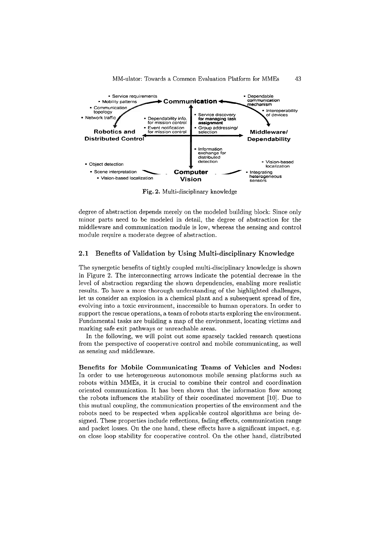

Fig. 2. Multi-disciplinary knowledge

degree of abstraction depends merely on the modeled building block: Since only minor parts need to be modeled in detail, the degree of abstraction for the middleware and communication module is low, whereas the sensing and control module require a moderate degree of abstraction.

#### Benefits of Validation by Using Multi-disciplinary Knowledge  $2.1$

The synergetic benefits of tightly coupled multi-disciplinary knowledge is shown in Figure 2. The interconnecting arrows indicate the potential decrease in the level of abstraction regarding the shown dependencies, enabling more realistic results. To have a more thorough understanding of the highlighted challenges, let us consider an explosion in a chemical plant and a subsequent spread of fire, evolving into a toxic environment, inaccessible to human operators. In order to support the rescue operations, a team of robots starts exploring the environment. Fundamental tasks are building a map of the environment, locating victims and marking safe exit pathways or unreachable areas.

In the following, we will point out some sparsely tackled research questions from the perspective of cooperative control and mobile communicating, as well as sensing and middleware.

Benefits for Mobile Communicating Teams of Vehicles and Nodes: In order to use heterogeneous autonomous mobile sensing platforms such as robots within MMEs, it is crucial to combine their control and coordination oriented communication. It has been shown that the information flow among the robots influences the stability of their coordinated movement [10]. Due to this mutual coupling, the communication properties of the environment and the robots need to be respected when applicable control algorithms are being designed. These properties include reflections, fading effects, communication range and packet losses. On the one hand, these effects have a significant impact, e.g. on close loop stability for cooperative control. On the other hand, distributed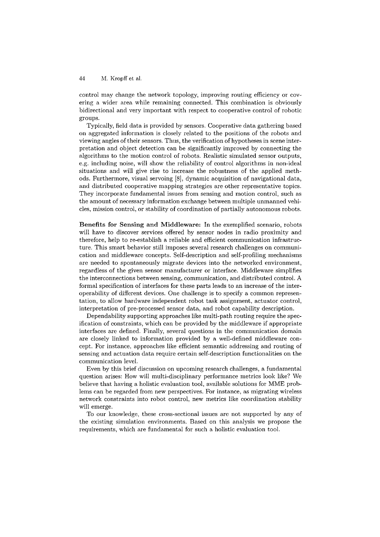#### 44 M. Kropff et al.

control may change the network topology, improving routing efficiency or covering a wider area while remaining connected. This combination is obviously bidirectional and very important with respect to cooperative control of robotic groups.

Typically, field data. is provided by sensors. Cooperative data gathering based on aggregated information is closely related to the positions of the robots and viewing angles of their sensors. Thus, the verification of hypotheses in scene interpretation and object detection can be sigilificantly improved by connecting the algorithms to the motion control of robots. Realistic simulated sensor outputs, e.g. including noise, will show the reliability of control algorithms in non-ideal situations and will give rise to increase the robustness of the applied methods. Furthermore, visual servoing [8], dynamic acquisition of navigational data, and distributed cooperative mapping strategies are other representative topics. They incorporate fundamental issues from sensing and motion control, such as the amount of necessary information exchange between multiple unmanned vehicles, mission control, or stability of coordination of partially autonomous robots.

**Benefits for Sensing and Middleware:** In the exemplified scenario, robots will have to discover services offered by sensor nodes in radio proximity and therefore, help to re-establish a reliable and efficient communication infrastructure. This smart behavior still imposes several research challenges on communication and middleware concepts. Self-description and self-profiling mechanisms are needed to spontaneously migrate devices into the networked environment, regardless of the given sensor manufacturer or interface. Middleware simplifies the interconnections between sensing, communication, and distributed control. A formal specification of interfaces for these parts leads to an increase of the interoperability of different devices. One challenge is to specify a common representation, to allow hardware independent robot task assignment, actuator control, interpretation of pre-processed sensor data, and robot capability description.

Dependability supporting approaches like multi-path routing require the specification of constraints, which can be provided by the middleware if appropriate interfaces are defined. Finally, several questions in the communication domain are closely linked to information provided by a well-defined middleware concept. For instance, approaches like efficient semantic addressing and routing of sensing and actuation data require certain self-description functionalities on the communication level.

Even by this brief discussion on upcoming research challenges, a fundamental question arises: How will multi-disciplinary performance metrics look like? We believe that having a holistic evaluation tool, available solutions for MME problems can be regarded from new perspectives. For instance, as migrating wireless network constraints into robot control, new metrics like coordination stability will emerge.

To our knowledge, these cross-sectional issues are not supported by any of the existing simulation environments. Based on this analysis we propose the requirements, which are fundamental for such a holistic evaluation tool.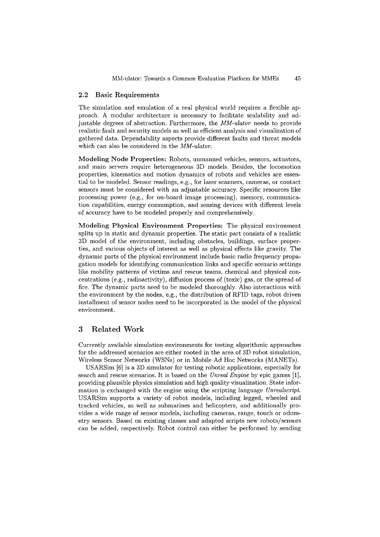#### **2.2** Basic Requirements

The simulation and emulation of a real physical world requires a flexible approach. A modular architecture is necessary to facilitate scalability and adjustable degrees of abstraction. Furthermore, the *MM-ulator* needs to provide realistic fault and security models as well as efficient analysis and visualization of gathered data. Dependability aspects provide different faults and threat models which can also be considered in the *MM-ulator.* 

Modeling Node Properties: Robots, unmanned vehicles, sensors, actuators, and main Servers require heterogeneous 3D models. Besides, the locomotion properties, kinematics and motion dynamics of robots and vehicles are essential to be modeled. Sensor readings, e.g., for laser scanners, cameras, or contact sensors must be considered with an adjustable accuracy. Specific resources like processing power (e.g., for on-board image processing), memory, communication capabilities, energy consumption, and sensing devices with different levels of accuracy liave to be modeled properly and comprehensively.

Modeling Physical Environment Properties: The physical environment splits up in static and dynamic properties. The static part consists of a realistic 3D model of the environment, including obstacles, buildings, surface properties, and various objects of interest as well **as** physical effects Iike gravity. The dynamic parts of the physical environment include basic radio frequency propagation models for identifying communication links and specific scenario settings like mobility patterns of victims and rescue teams, chemical and physical concentrations (e.g., radioactivity), diffusion process of (toxic) gas, or the spread of fire. The dynamic parts need to be modeled thoroughly. Also interactions with the environment by the nodes, e.g., the distribution of RFID tags, robot driven installment of sensor nodes need to be incorporated in the model of the physical environment.

# **3 Related Work**

Currently available simulation environinents for testing algorithmic approaches for the addressed scenarios are either rooted in the area of 3D robot simulation, Wireless Sensor Networks (WSNs) or in Mobile Ad Hoc Networks (MANETs).

USARSim [6] is a 3D simulator for testing robotic applications, especially for search and rescue scenarios. It is based on the *Unreal Engine* by epic games [I], providing plausible physics simulation and high quality visualization. State information is exchanged with the engine using the scripting language *Unrealscript*. USARSim supports a variety of robot models, including legged, wheeled and tracked vehicles, as well as submarines and helicopters, and additionally provides a wide range of sensor models, including cameras, range, touch or odometry sensors. Based on existing clnsses and adapted scripts new robots/sensors can be added, respectively. Robot control can either be performed by sending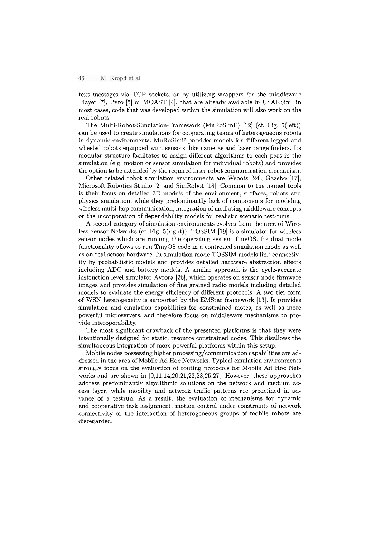46 M. Kropff et al

text messages via TCP sockets, or by utilizing wrappers for the middleware Player  $[7]$ , Pyro  $[5]$  or MOAST  $[4]$ , that are already available in USARSim. In most cases, code that was developed within the simulation will also work on the real robots.

The **Multi-Robot-Simulation-Fkamework** (MuRoSiniF) [12] (cf. Fig. 5(left)) can be used to create simulations for cooperating teams of heterogeneous robots in dynamic environments. MuRoSimF provides models for different legged and wheeled robots equipped with sensors, like cameras and laser range finders. Its modular structure facilitates to assign different algorithms to each part in the simulation (e.g. motion or sensor simulation for individual robots) and provides the option to be extended by the required inter robot communication mechanism.

Other related robot simulation environments are Webots [24], Gazebo [17], Microsoft Robotics Studio [2] and SimRobot [18]. Common to the named tools is their focus on detailed 3D models of the environment, surfaces, robots and physics simulation, while they predominantly lack of components for modeling wireless multi-hop communication, integration of mediating middleware concepts or the incorporation of dependability models for realistic scenario test-runs.

**A** second category of simulation environments evolves from the area of Wireless Sensor Networks (cf. Fig. 5(right)). TOSSIM [19] is a simulator for wireless sensor nodes which are running the operating system TinyOS. Its dual mode functionality allows to run TinyOS code in a controlled simulation mode as well as on real sensor hardware. In simulation mode TOSSIM models link connectivity by probabilistic models and provides detailed hardware abstraction effects including ADC and battery models. A similar approach is the cycle-accurate instruction level simulator Avrora [26], which operates on sensor node firmware images and provides simulation of fine grained radio models including detailed models to evaluate the energy efficiency of different protocols. A two tier form of WSN heterogeneity is supported by the EhdStar framework [13]. It provides simulation and emulation capabilities for constrained motes, as well as more powerful microservers, and therefore focus on middleware mechanisms to provide interoperability.

The most significant drawback of the presented platforms is that they were intentionally designed for static, resource constrained nodes. This disallows the simultaneous integration of more powerful platforms within this setup.

Mobile nodes possessing higher processing/communication capabilities are addressed in the area of Mobile Ad Hoc Networks. Typical emulation environments strongly focus on the evaluation of routing protocols for Mobile Ad Hoc Networks and are shown in [9,11,14,20,21,22,23,25,27]. However, these approaches address predominantly algorithmic solutions on the network and medium access layer, while mobility and network traffic patterns are predefined in advance of a testrun. As a result, the evaluation of mechanisms for dynamic and cooperative task assignment, motion control under constraints of network connectivity or the interaction of heterogeneous groups of mobile robots are disregarded.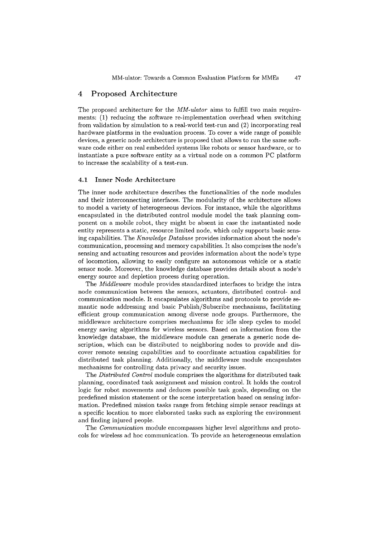### **4 Proposed Architecture**

The proposed architecture for the *MM-ulator* aims to fulfill two main requirements:  $(1)$  reducing the software re-implementation overhead when switching from validation by simulation to a real-world test-run and  $(2)$  incorporating real hardware platforms in the evaluation process. To cover a wide range of possible devices, a generic node architecture is proposed that allows to run the same software code either on real embedded systems like robots or sensor hardware, or to instantiate a pure software entity as a virtual node on a common PC platform to increase the scalability of a test-run.

#### **4.1** Inner Node Architecture

The inner node architecture describes the functionalities of the node modules and their interconnecting interfaces. The modularity of the architecture allows to model a variety of heterogeneous devices. For instance, while the algorithms encapsulated in the distributed control inodule model the task planning component on a mobile robot, they might be absent in case the instantiated node entity represents a static, resource limited node, which only supports basic sensing capabilities. The *Knowledge Database* provides information about the node's communication, processing and memory capabilities. It also comprises the node's sensing and actuating resources and provides information about the node's type of locomotion, allowing to easily configure an autonomous vehicle or a static sensor node. Moreover, the knowledge database provides details about a node's energy source and depletion process during operation.

The *Middleware* module provides standardized interfaces to bridge the intra node communication between the sensors, actuators, distributed control- and communication module. It encapsulates algorithms and protocols to provide semantic node addressing and basic Publish/Subscribe mechanisms, facilitating efficient group communication among diverse node groups. Furthermore, the middleware architecture comprises mechanisms for idle sleep cycles to model energy saving algorithms for wireless sensors. Based on information from the knowledge database, the middleware module can generate a generic node description, which can be distributed to neighboring nodes to provide and discover remote sensing capabilities and to coordinate actuation capabilities for distributed task planning. Additionally, the middleware module encapsulates mechanisms for controlling data privacy and security issues.

The *Distributed Control* module comprises the algorithms for distributed task planning, coordinated task assignment and mission control. It holds the control logic for robot movements and deduces possible task goals, depending on the predefined mission statement or the scene interpretation based on sensing information. Predefined mission tasks range from fetching simple sensor readings at a specific locatioil to more elaborated tasks sucli **ac** exploring the environment and finding injured people.

The *Communication* module encompasses higher level algorithms and protocols for wireless ad hoc communication. To provide an heterogeneous emulation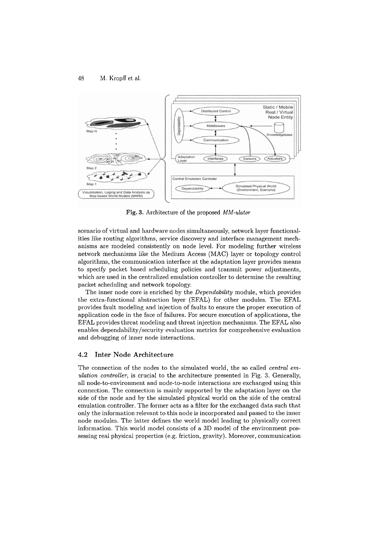

Fig. 3. Architecture of the proposed *MM-ulator* 

scenario of virtual and hardware nodes simultaneously, network layer functionalities like routing algorithms, service discovery and interface management mechanisms are modeled consistently on node level. For modeling further wireless network mechanisms like the Medium Access (MAC) layer or topology control algorithms, the communication interface at the adaptation layer provides means to specify packet based scheduling policies and transmit power adjustments, which are used in the centralized emulation controller to determine the resulting packet scheduling and network topology.

The inner node core is enriched by the *Dependability* module, which provides the extra-functional abstraction layer (EFAL) for other modules. The EFAL provides fault modeling and injection of faults to ensure the proper execution of application code in the face of failures. For secure execution of applications, the EFAL provides threat modeling ancl threat injection mechanisms. The EFAL also enables dependability/security evaluation metrics for comprehensive evaluation and debugging of inner node interactions.

#### **4.2 Inter Node Architecture**

The connection of the nodes to the simulated world, the so called central *em*ulation controller, is crucial to the architecture presented in Fig. 3. Generally, all node-to-environment and node-to-node interactions are exchanged using this connection. The connection is mainly supported by the adaptation layer on the side of the node and by the simulated physical world on the side of the central emulation controller. The former acts as a filter for the exchanged data such that only the information relevant to this node is incorporated and passed to the inner node modules. The latter defines the world model leading to physically correct information. This world model consists of a 3D model of the environment possessing real physical properties (e.g. friction, gravity). Moreover, communication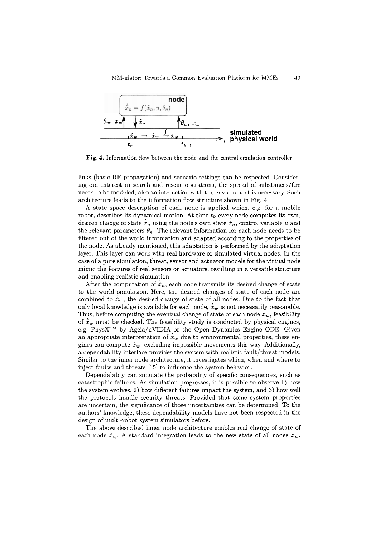

Fig. 4. Information flow between the node and the central emulation controller

links (basic RF propagation) and scenario settings can be respected. Considering our interest in search and rescue operations, the spread of substances/fire needs to be modeled; also an interaction with the environment is necessary. Such architecture leads to the information flow structure shown in Fig. 4.

A state space description of each node is applied which, e.g. for a mobile robot, describes its dynamical motion. At time  $t_k$  every node computes its own, desired change of state  $\tilde{x}_n$  using the node's own state  $\tilde{x}_n$ , control variable u and the relevant parameters  $\theta_n$ . The relevant information for each node needs to be filtered out of the world information and adapted according to the properties of the node. As already mentioned, this adaptation is performed by the adaptation layer. This layer can work with real hardware or simulated virtual nodes. In the case of a pure simulation, threat, sensor and actuator models for the virtual node mimic the features of real sensors or actuators, resulting in a versatile structure and enabling realistic simulation.

After the computation of  $\dot{x}_n$ , each node transmits its desired change of state to the world simulation. Here, the desired changes of state of each node are combined to  $\tilde{x}_w$ , the desired change of state of all nodes. Due to the fact that only local knowledge is available for each node,  $\dot{x}_w$  is not necessarily reasonable. Thus, before computing the eventual change of state of each node  $\dot{x}_w$ , feasibility of  $\tilde{x}_w$  must be checked. The feasibility study is conducted by physical engines, e.g. PhysX<sup>TM</sup> by Ageia/nVIDIA or the Open Dynamics Engine ODE. Given an appropriate interpretation of  $\dot{\tilde{x}}_w$  due to environmental properties, these engines can compute  $\dot{x}_w$ , excluding impossible movements this way. Additionally, a dependability interface provides the system with realistic fault/threat models. Similar to the inner node architecture, it investigates which, when and where to inject faults and threats [15] to influence the system behavior.

Dependability can simulate the probability of specific consequences, such as catastrophic failures. As simulation progresses, it is possible to observe 1) how the system evolves, 2) how different failures impact the system, and 3) how well the protocols handle security threats. Provided that some system properties are uncertain, the significance of those uncertainties can be determined. To the authors' knowledge, these dependability models have not been respected in the design of multi-robot system simulators before.

The above described inner node architecture enables real change of state of each node  $\dot{x}_w$ . A standard integration leads to the new state of all nodes  $x_w$ .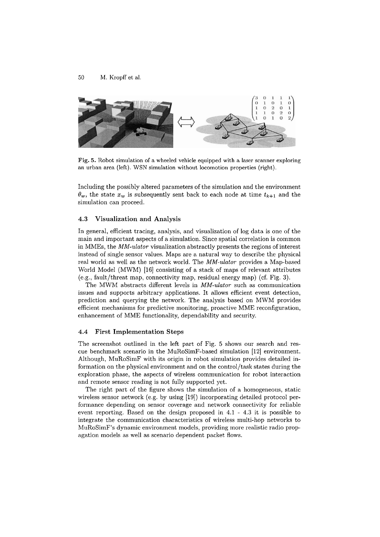

Fig. 5. Robot simulation of a wheeled vehicle equipped with a laser scanner exploring an urban area (left). WSN simulation without locomotion properties (right).

Including the possibly altered parameters of the simulation and the environment  $\theta_w$ , the state  $x_w$  is subsequently sent back to each node at time  $t_{k+1}$  and the simulation can proceed.

#### **4.3 Visualization and Analysis**

In general, efficient tracing, analysis, and visualization of log data is one of the main and important aspects of a simulation. Since spatial correlation is common in MMEs, the *MM-ulator* visualization abstractly presents the regions of interest instead of single sensor values. Maps are a natural way to describe the physical real world as well as the network world. The  $MM\text{-}ulator$  provides a Map-based World Model (MWM) [16] consisting of a stack of maps of relevant attributes  $(e.g., fault/thread map, connectivity map, residual energy map)$  (cf. Fig. 3).

The MWM abstracts different levels in *MM-ulator* such as communication issues and supports arbitrary applications. It allows efficient event detection, prediction and querying the network. The analysis based on MWM provides efficient mechanisms for predictive monitoring, proactive MME reconfiguration, enhancement of MME functionality, dependability and security.

#### **4.4 First Implementation Steps**

The screenshot outlined in the left part of Fig. 5 shows our search and rescue benchmark scenario in the MuRoSimF-based simulation  $[12]$  environment. Although, MuRoSimF with its origin in robot simulation provides detailed information on the physical environment and on the control/task states during the exploration phase, the aspects of wireless comniunication for robot interaction and remote sensor reading is not fully supported yet.

The right part of the figure shows the simulation of a homogeneous, static wireless sensor network (e.g. by using  $[19]$ ) incorporating detailed protocol perforinance depending on sensor coverage and network connectivity for reliable event reporting. Based on the design proposed in 4.1 - 4.3 it is possible to integrate the communication characteristics of wireless multi-hop networks to MuRoSimF's dynamic environment models, providing more realistic radio propagation models as well as scenario dependent packet flows.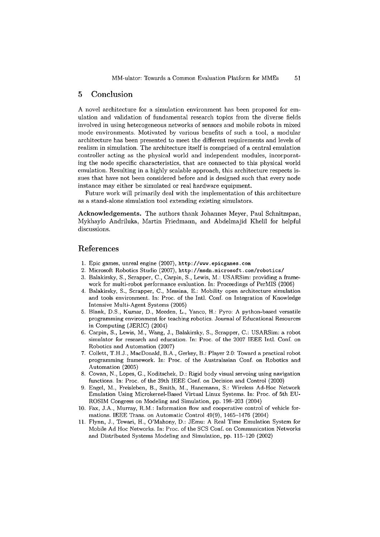## 5 Conclusion

A novel architecture for a simulation environment has been proposed for emulation and validation of fundamental research topics from the diverse fields involved in using heterogeneous networks of Sensors and mobile robots in mixed mode environments. Motivated by various benefits of such a tool, a modular architecture has been presented to meet the different requirements and levels of realisni in simulation. The architecture itself is comprised of a central emulation controller acting as the physical world and independent inodules, incorporating the node specific characteristics, that are connected to this physical world emulation. Resulting in a highly scalable approach, this architecture respects issues that have not been considered before and is designed such that every node instance may either be simulated or real hardware equipment.

Future work will primarily deal with the implementation of this architecture as a stand-alone simulation tool extending existing simulators.

Acknowledgements. The authors thank Johannes Meyer, Paul Schnitzspan, Mykhaylo Andriluka, Martin Friedmann, and Abdelmajid Khelil for helpful discussions.

### **References**

- 1. Epic games, unreal engine (2007), http: **//www** . epicgames . com
- 2. Microsoft Robotics Studio (2007), http://msdn.microsoft.com/robotics/
- **3.** Balakirsky, S., Scrapper, C., Carpin, S., Lewis, M.: USARSim: providing a framework for multi-robot performance evaluation. In: Proceedings of PerMIS (2006)
- 4. Balakirsky, S., Scrapper, C., Messina, E.: Mobility Open architecture simulation and tools environment. In: Proc. of the Intl. Conf. on Integration of Knowledge Intensive Multi-Agent Systems (2005)
- 5. Blank, D.S., Kumar, D., Meeden, L., Yanco, H.: Pyro: A python-based versatile programming environment for teaching robotics. Journal of Educational Resources in Computing (JERIC) (2004)
- 6. Carpin, S., Lewis, M., Wang, J., Balakirsky, S., Scrapper, C.: USARSim: a robot simulator for research and education. In: Proc. of the 2007 IEEE Intl. Conf. on Robotics and Automation (2007)
- 7. Collett, T.H.J., MacDonald, B.A., Gerkey, B.: Player 2.0: Toward a practical robot programming framework. In: Proc. of the Australasian Conf. on Robotics and Automation (2005)
- 8. Cowan, N., Lopes, G., Koditschek, D.: Rigid body visual servoing using navigation functions. In: Proc. of the 39th IEEE Conf. on Decision and Control (2000)
- 9. Engel, M., Freisleben, B., Smith, M., Hanemann, S.: Wireless Ad-Hoc Network Emulation Using Microkernel-Based Virtual Linux Systems. In: Proc. of 5th EU-ROSIM Congress on Modeling and Simulation, pp. 198-203 (2004)
- 10. Fax, J.A., Murray, R.M.: Information flow and cooperative control of vehicle formations. IEEE Trans. on Automatic Control  $49(9)$ ,  $1465-1476$  (2004)
- 11. Flynn, J., Tewari, H., O'Mahony, D.: JEmu: A Real Time Emulation System for Mobile Ad Hoc Networks. In: Proc. of the SCS Conf. on Communication Networks and Distributed Systems Modeling and Simulation, pp. 115–120 (2002)